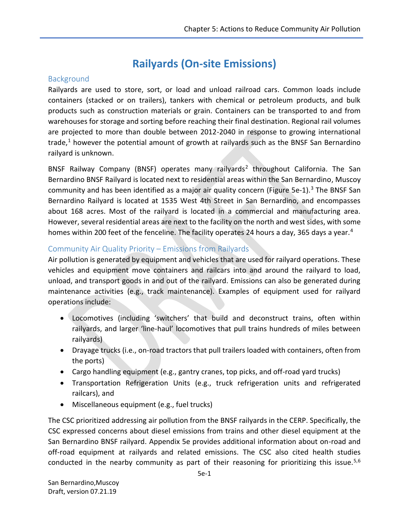# **Railyards (On-site Emissions)**

### **Background**

Railyards are used to store, sort, or load and unload railroad cars. Common loads include containers (stacked or on trailers), tankers with chemical or petroleum products, and bulk products such as construction materials or grain. Containers can be transported to and from warehouses for storage and sorting before reaching their final destination. Regional rail volumes are projected to more than double between 2012-2040 in response to growing international trade,<sup>1</sup> however the potential amount of growth at railyards such as the BNSF San Bernardino railyard is unknown.

BNSF Railway Company (BNSF) operates many railyards<sup>2</sup> throughout California. The San Bernardino BNSF Railyard is located next to residential areas within the San Bernardino, Muscoy community and has been identified as a major air quality concern (Figure 5e-1).<sup>3</sup> The BNSF San Bernardino Railyard is located at 1535 West 4th Street in San Bernardino, and encompasses about 168 acres. Most of the railyard is located in a commercial and manufacturing area. However, several residential areas are next to the facility on the north and west sides, with some homes within 200 feet of the fenceline. The facility operates 24 hours a day, 365 days a year.<sup>4</sup>

## Community Air Quality Priority – Emissions from Railyards

Air pollution is generated by equipment and vehicles that are used for railyard operations. These vehicles and equipment move containers and railcars into and around the railyard to load, unload, and transport goods in and out of the railyard. Emissions can also be generated during maintenance activities (e.g., track maintenance). Examples of equipment used for railyard operations include:

- Locomotives (including 'switchers' that build and deconstruct trains, often within railyards, and larger 'line-haul' locomotives that pull trains hundreds of miles between railyards)
- Drayage trucks (i.e., on-road tractors that pull trailers loaded with containers, often from the ports)
- Cargo handling equipment (e.g., gantry cranes, top picks, and off-road yard trucks)
- Transportation Refrigeration Units (e.g., truck refrigeration units and refrigerated railcars), and
- Miscellaneous equipment (e.g., fuel trucks)

The CSC prioritized addressing air pollution from the BNSF railyards in the CERP. Specifically, the CSC expressed concerns about diesel emissions from trains and other diesel equipment at the San Bernardino BNSF railyard. Appendix 5e provides additional information about on-road and off-road equipment at railyards and related emissions. The CSC also cited health studies conducted in the nearby community as part of their reasoning for prioritizing this issue.<sup>5,6</sup>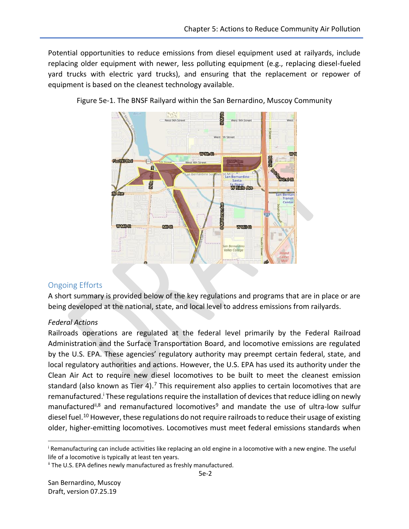Potential opportunities to reduce emissions from diesel equipment used at railyards, include replacing older equipment with newer, less polluting equipment (e.g., replacing diesel-fueled yard trucks with electric yard trucks), and ensuring that the replacement or repower of equipment is based on the cleanest technology available.



Figure 5e-1. The BNSF Railyard within the San Bernardino, Muscoy Community

#### Ongoing Efforts

A short summary is provided below of the key regulations and programs that are in place or are being developed at the national, state, and local level to address emissions from railyards.

#### *Federal Actions*

Railroads operations are regulated at the federal level primarily by the Federal Railroad Administration and the Surface Transportation Board, and locomotive emissions are regulated by the U.S. EPA. These agencies' regulatory authority may preempt certain federal, state, and local regulatory authorities and actions. However, the U.S. EPA has used its authority under the Clean Air Act to require new diesel locomotives to be built to meet the cleanest emission standard (also known as Tier 4).<sup>7</sup> This requirement also applies to certain locomotives that are remanufactured.<sup>i</sup> These regulations require the installation of devices that reduce idling on newly manufactured<sup>ii,8</sup> and remanufactured locomotives<sup>9</sup> and mandate the use of ultra-low sulfur diesel fuel.<sup>10</sup> However, these regulations do not require railroads to reduce their usage of existing older, higher-emitting locomotives. Locomotives must meet federal emissions standards when

l

<sup>i</sup> Remanufacturing can include activities like replacing an old engine in a locomotive with a new engine. The useful life of a locomotive is typically at least ten years.

ii The U.S. EPA defines newly manufactured as freshly manufactured.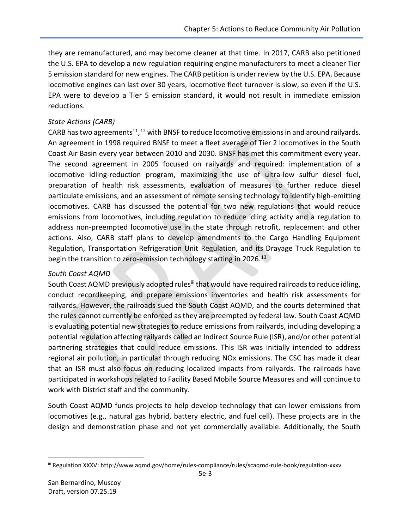they are remanufactured, and may become cleaner at that time. In 2017, CARB also petitioned the U.S. EPA to develop a new regulation requiring engine manufacturers to meet a cleaner Tier 5 emission standard for new engines. The CARB petition is under review by the U.S. EPA. Because locomotive engines can last over 30 years, locomotive fleet turnover is slow, so even if the U.S. EPA were to develop a Tier 5 emission standard, it would not result in immediate emission reductions.

#### *State Actions (CARB)*

CARB has two agreements<sup>11</sup>,<sup>12</sup> with BNSF to reduce locomotive emissions in and around railyards. An agreement in 1998 required BNSF to meet a fleet average of Tier 2 locomotives in the South Coast Air Basin every year between 2010 and 2030. BNSF has met this commitment every year. The second agreement in 2005 focused on railyards and required: implementation of a locomotive idling-reduction program, maximizing the use of ultra-low sulfur diesel fuel, preparation of health risk assessments, evaluation of measures to further reduce diesel particulate emissions, and an assessment of remote sensing technology to identify high-emitting locomotives. CARB has discussed the potential for two new regulations that would reduce emissions from locomotives, including regulation to reduce idling activity and a regulation to address non-preempted locomotive use in the state through retrofit, replacement and other actions. Also, CARB staff plans to develop amendments to the Cargo Handling Equipment Regulation, Transportation Refrigeration Unit Regulation, and its Drayage Truck Regulation to begin the transition to zero-emission technology starting in 2026.<sup>13</sup>

#### *South Coast AQMD*

South Coast AQMD previously adopted rules<sup>iii</sup> that would have required railroads to reduce idling, conduct recordkeeping, and prepare emissions inventories and health risk assessments for railyards. However, the railroads sued the South Coast AQMD, and the courts determined that the rules cannot currently be enforced as they are preempted by federal law. South Coast AQMD is evaluating potential new strategies to reduce emissions from railyards, including developing a potential regulation affecting railyards called an Indirect Source Rule (ISR), and/or other potential partnering strategies that could reduce emissions. This ISR was initially intended to address regional air pollution, in particular through reducing NOx emissions. The CSC has made it clear that an ISR must also focus on reducing localized impacts from railyards. The railroads have participated in workshops related to Facility Based Mobile Source Measures and will continue to work with District staff and the community.

South Coast AQMD funds projects to help develop technology that can lower emissions from locomotives (e.g., natural gas hybrid, battery electric, and fuel cell). These projects are in the design and demonstration phase and not yet commercially available. Additionally, the South

 $\overline{\phantom{a}}$ 

iii Regulation XXXV: http://www.aqmd.gov/home/rules-compliance/rules/scaqmd-rule-book/regulation-xxxv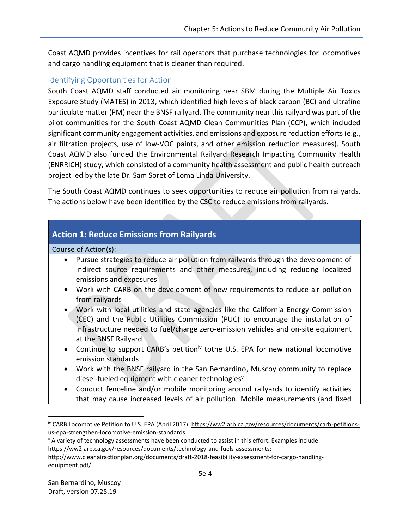Coast AQMD provides incentives for rail operators that purchase technologies for locomotives and cargo handling equipment that is cleaner than required.

## Identifying Opportunities for Action

South Coast AQMD staff conducted air monitoring near SBM during the Multiple Air Toxics Exposure Study (MATES) in 2013, which identified high levels of black carbon (BC) and ultrafine particulate matter (PM) near the BNSF railyard. The community near this railyard was part of the pilot communities for the South Coast AQMD Clean Communities Plan (CCP), which included significant community engagement activities, and emissions and exposure reduction efforts (e.g., air filtration projects, use of low-VOC paints, and other emission reduction measures). South Coast AQMD also funded the Environmental Railyard Research Impacting Community Health (ENRRICH) study, which consisted of a community health assessment and public health outreach project led by the late Dr. Sam Soret of Loma Linda University.

The South Coast AQMD continues to seek opportunities to reduce air pollution from railyards. The actions below have been identified by the CSC to reduce emissions from railyards.

# **Action 1: Reduce Emissions from Railyards**

Course of Action(s):

- Pursue strategies to reduce air pollution from railyards through the development of indirect source requirements and other measures, including reducing localized emissions and exposures
- Work with CARB on the development of new requirements to reduce air pollution from railyards
- Work with local utilities and state agencies like the California Energy Commission (CEC) and the Public Utilities Commission (PUC) to encourage the installation of infrastructure needed to fuel/charge zero-emission vehicles and on-site equipment at the BNSF Railyard
- Continue to support CARB's petition<sup>iv</sup> tothe U.S. EPA for new national locomotive emission standards
- Work with the BNSF railyard in the San Bernardino, Muscoy community to replace diesel-fueled equipment with cleaner technologies<sup>v</sup>
- Conduct fenceline and/or mobile monitoring around railyards to identify activities that may cause increased levels of air pollution. Mobile measurements (and fixed

 $v$  A variety of technology assessments have been conducted to assist in this effort. Examples include: [https://ww2.arb.ca.gov/resources/documents/technology-and-fuels-assessments;](https://ww2.arb.ca.gov/resources/documents/technology-and-fuels-assessments)

 $\overline{\phantom{a}}$ 

iv CARB Locomotive Petition to U.S. EPA (April 2017): [https://ww2.arb.ca.gov/resources/documents/carb-petitions](https://ww2.arb.ca.gov/resources/documents/carb-petitions-us-epa-strengthen-locomotive-emission-standards)[us-epa-strengthen-locomotive-emission-standards.](https://ww2.arb.ca.gov/resources/documents/carb-petitions-us-epa-strengthen-locomotive-emission-standards)

[http://www.cleanairactionplan.org/documents/draft-2018-feasibility-assessment-for-cargo-handling](http://www.cleanairactionplan.org/documents/draft-2018-feasibility-assessment-for-cargo-handling-equipment.pdf/)[equipment.pdf/.](http://www.cleanairactionplan.org/documents/draft-2018-feasibility-assessment-for-cargo-handling-equipment.pdf/)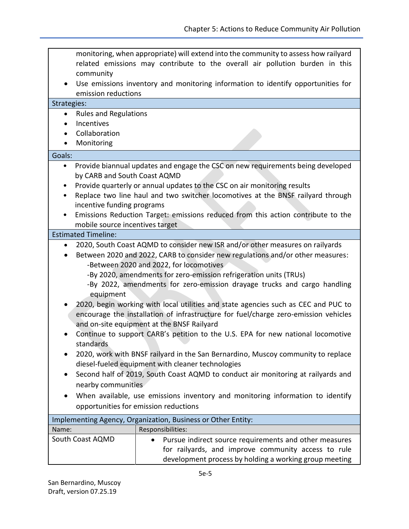| community<br>٠<br>emission reductions                                                                                                                                                                                                                                                                                                                                                                                                                                                                                                                                                                                                                                                                                                                                                                                                                                                                                                                                                                                                                                                  | monitoring, when appropriate) will extend into the community to assess how railyard<br>related emissions may contribute to the overall air pollution burden in this<br>Use emissions inventory and monitoring information to identify opportunities for |  |
|----------------------------------------------------------------------------------------------------------------------------------------------------------------------------------------------------------------------------------------------------------------------------------------------------------------------------------------------------------------------------------------------------------------------------------------------------------------------------------------------------------------------------------------------------------------------------------------------------------------------------------------------------------------------------------------------------------------------------------------------------------------------------------------------------------------------------------------------------------------------------------------------------------------------------------------------------------------------------------------------------------------------------------------------------------------------------------------|---------------------------------------------------------------------------------------------------------------------------------------------------------------------------------------------------------------------------------------------------------|--|
| Strategies:                                                                                                                                                                                                                                                                                                                                                                                                                                                                                                                                                                                                                                                                                                                                                                                                                                                                                                                                                                                                                                                                            |                                                                                                                                                                                                                                                         |  |
| <b>Rules and Regulations</b><br>$\bullet$                                                                                                                                                                                                                                                                                                                                                                                                                                                                                                                                                                                                                                                                                                                                                                                                                                                                                                                                                                                                                                              |                                                                                                                                                                                                                                                         |  |
| Incentives<br>$\bullet$                                                                                                                                                                                                                                                                                                                                                                                                                                                                                                                                                                                                                                                                                                                                                                                                                                                                                                                                                                                                                                                                |                                                                                                                                                                                                                                                         |  |
| Collaboration<br>$\bullet$                                                                                                                                                                                                                                                                                                                                                                                                                                                                                                                                                                                                                                                                                                                                                                                                                                                                                                                                                                                                                                                             |                                                                                                                                                                                                                                                         |  |
| Monitoring                                                                                                                                                                                                                                                                                                                                                                                                                                                                                                                                                                                                                                                                                                                                                                                                                                                                                                                                                                                                                                                                             |                                                                                                                                                                                                                                                         |  |
| Goals:                                                                                                                                                                                                                                                                                                                                                                                                                                                                                                                                                                                                                                                                                                                                                                                                                                                                                                                                                                                                                                                                                 |                                                                                                                                                                                                                                                         |  |
| ٠                                                                                                                                                                                                                                                                                                                                                                                                                                                                                                                                                                                                                                                                                                                                                                                                                                                                                                                                                                                                                                                                                      | Provide biannual updates and engage the CSC on new requirements being developed                                                                                                                                                                         |  |
|                                                                                                                                                                                                                                                                                                                                                                                                                                                                                                                                                                                                                                                                                                                                                                                                                                                                                                                                                                                                                                                                                        | by CARB and South Coast AQMD                                                                                                                                                                                                                            |  |
|                                                                                                                                                                                                                                                                                                                                                                                                                                                                                                                                                                                                                                                                                                                                                                                                                                                                                                                                                                                                                                                                                        | Provide quarterly or annual updates to the CSC on air monitoring results                                                                                                                                                                                |  |
| ٠                                                                                                                                                                                                                                                                                                                                                                                                                                                                                                                                                                                                                                                                                                                                                                                                                                                                                                                                                                                                                                                                                      | Replace two line haul and two switcher locomotives at the BNSF railyard through                                                                                                                                                                         |  |
|                                                                                                                                                                                                                                                                                                                                                                                                                                                                                                                                                                                                                                                                                                                                                                                                                                                                                                                                                                                                                                                                                        | incentive funding programs                                                                                                                                                                                                                              |  |
|                                                                                                                                                                                                                                                                                                                                                                                                                                                                                                                                                                                                                                                                                                                                                                                                                                                                                                                                                                                                                                                                                        | Emissions Reduction Target: emissions reduced from this action contribute to the                                                                                                                                                                        |  |
| mobile source incentives target                                                                                                                                                                                                                                                                                                                                                                                                                                                                                                                                                                                                                                                                                                                                                                                                                                                                                                                                                                                                                                                        |                                                                                                                                                                                                                                                         |  |
| <b>Estimated Timeline:</b>                                                                                                                                                                                                                                                                                                                                                                                                                                                                                                                                                                                                                                                                                                                                                                                                                                                                                                                                                                                                                                                             |                                                                                                                                                                                                                                                         |  |
| 2020, South Coast AQMD to consider new ISR and/or other measures on railyards<br>٠<br>Between 2020 and 2022, CARB to consider new regulations and/or other measures:<br>-Between 2020 and 2022, for locomotives<br>-By 2020, amendments for zero-emission refrigeration units (TRUs)<br>-By 2022, amendments for zero-emission drayage trucks and cargo handling<br>equipment<br>2020, begin working with local utilities and state agencies such as CEC and PUC to<br>encourage the installation of infrastructure for fuel/charge zero-emission vehicles<br>and on-site equipment at the BNSF Railyard<br>Continue to support CARB's petition to the U.S. EPA for new national locomotive<br>standards<br>2020, work with BNSF railyard in the San Bernardino, Muscoy community to replace<br>diesel-fueled equipment with cleaner technologies<br>Second half of 2019, South Coast AQMD to conduct air monitoring at railyards and<br>nearby communities<br>When available, use emissions inventory and monitoring information to identify<br>opportunities for emission reductions |                                                                                                                                                                                                                                                         |  |
| Implementing Agency, Organization, Business or Other Entity:                                                                                                                                                                                                                                                                                                                                                                                                                                                                                                                                                                                                                                                                                                                                                                                                                                                                                                                                                                                                                           |                                                                                                                                                                                                                                                         |  |
| Name:                                                                                                                                                                                                                                                                                                                                                                                                                                                                                                                                                                                                                                                                                                                                                                                                                                                                                                                                                                                                                                                                                  | Responsibilities:                                                                                                                                                                                                                                       |  |
| South Coast AQMD                                                                                                                                                                                                                                                                                                                                                                                                                                                                                                                                                                                                                                                                                                                                                                                                                                                                                                                                                                                                                                                                       | Pursue indirect source requirements and other measures<br>for railyards, and improve community access to rule<br>development process by holding a working group meeting                                                                                 |  |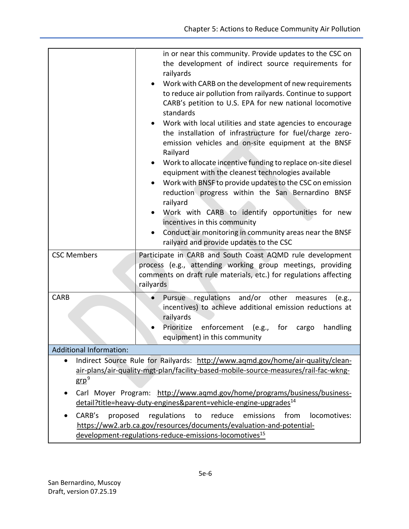|                                                                                                                                                                                                                                                                                                                                                                            | in or near this community. Provide updates to the CSC on<br>the development of indirect source requirements for<br>railyards<br>Work with CARB on the development of new requirements<br>to reduce air pollution from railyards. Continue to support<br>CARB's petition to U.S. EPA for new national locomotive<br>standards<br>• Work with local utilities and state agencies to encourage<br>the installation of infrastructure for fuel/charge zero-<br>emission vehicles and on-site equipment at the BNSF<br>Railyard<br>Work to allocate incentive funding to replace on-site diesel<br>equipment with the cleanest technologies available<br>Work with BNSF to provide updates to the CSC on emission<br>reduction progress within the San Bernardino BNSF<br>railyard<br>Work with CARB to identify opportunities for new<br>incentives in this community<br>Conduct air monitoring in community areas near the BNSF<br>railyard and provide updates to the CSC |
|----------------------------------------------------------------------------------------------------------------------------------------------------------------------------------------------------------------------------------------------------------------------------------------------------------------------------------------------------------------------------|-------------------------------------------------------------------------------------------------------------------------------------------------------------------------------------------------------------------------------------------------------------------------------------------------------------------------------------------------------------------------------------------------------------------------------------------------------------------------------------------------------------------------------------------------------------------------------------------------------------------------------------------------------------------------------------------------------------------------------------------------------------------------------------------------------------------------------------------------------------------------------------------------------------------------------------------------------------------------|
| <b>CSC Members</b>                                                                                                                                                                                                                                                                                                                                                         | Participate in CARB and South Coast AQMD rule development<br>process (e.g., attending working group meetings, providing<br>comments on draft rule materials, etc.) for regulations affecting<br>railyards                                                                                                                                                                                                                                                                                                                                                                                                                                                                                                                                                                                                                                                                                                                                                               |
| <b>CARB</b>                                                                                                                                                                                                                                                                                                                                                                | Pursue regulations and/or other<br>measures<br>(e.g.,<br>incentives) to achieve additional emission reductions at<br>railyards<br>Prioritize<br>enforcement (e.g., for<br>handling<br>cargo<br>$\bullet$<br>equipment) in this community                                                                                                                                                                                                                                                                                                                                                                                                                                                                                                                                                                                                                                                                                                                                |
| <b>Additional Information:</b>                                                                                                                                                                                                                                                                                                                                             |                                                                                                                                                                                                                                                                                                                                                                                                                                                                                                                                                                                                                                                                                                                                                                                                                                                                                                                                                                         |
| Indirect Source Rule for Railyards: http://www.aqmd.gov/home/air-quality/clean-<br>$\bullet$<br>air-plans/air-quality-mgt-plan/facility-based-mobile-source-measures/rail-fac-wkng-<br><u>grp</u> <sup>9</sup><br>Carl Moyer Program: http://www.aqmd.gov/home/programs/business/business-<br>detail?title=heavy-duty-engines&parent=vehicle-engine-upgrades <sup>14</sup> |                                                                                                                                                                                                                                                                                                                                                                                                                                                                                                                                                                                                                                                                                                                                                                                                                                                                                                                                                                         |
| CARB's<br>regulations to<br>reduce<br>emissions<br>from<br>proposed<br>locomotives:<br>https://ww2.arb.ca.gov/resources/documents/evaluation-and-potential-<br>development-regulations-reduce-emissions-locomotives <sup>15</sup>                                                                                                                                          |                                                                                                                                                                                                                                                                                                                                                                                                                                                                                                                                                                                                                                                                                                                                                                                                                                                                                                                                                                         |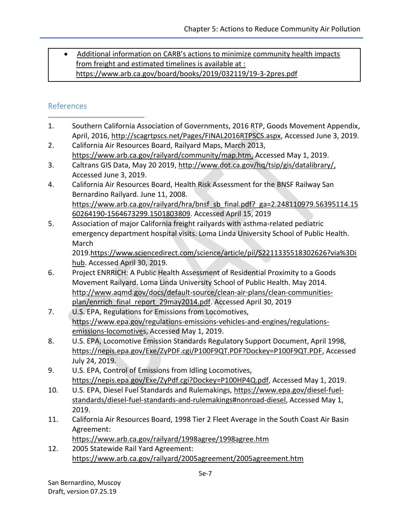• Additional information on CARB's actions to minimize community health impacts from freight and estimated timelines is available at : https://www.arb.ca.gov/board/books/2019/032119/19-3-2pres.pdf

# References

- 1. Southern California Association of Governments, 2016 RTP, Goods Movement Appendix, April, 2016, [http://scagrtpscs.net/Pages/FINAL2016RTPSCS.aspx,](http://scagrtpscs.net/Pages/FINAL2016RTPSCS.aspx) Accessed June 3, 2019.  $\overline{\phantom{a}}$
- 2. California Air Resources Board, Railyard Maps, March 2013, [https://www.arb.ca.gov/railyard/community/map.htm,](https://www.arb.ca.gov/railyard/community/map.htm) Accessed May 1, 2019.
- 3. Caltrans GIS Data, May 20 2019, [http://www.dot.ca.gov/hq/tsip/gis/datalibrary/,](http://www.dot.ca.gov/hq/tsip/gis/datalibrary/) Accessed June 3, 2019.
- 4. California Air Resources Board, Health Risk Assessment for the BNSF Railway San Bernardino Railyard. June 11, 2008. [https://www.arb.ca.gov/railyard/hra/bnsf\\_sb\\_final.pdf?\\_ga=2.248110979.56395114.15](https://www.arb.ca.gov/railyard/hra/bnsf_sb_final.pdf?_ga=2.248110979.56395114.1560264190-1564673299.1501803809) [60264190-1564673299.1501803809.](https://www.arb.ca.gov/railyard/hra/bnsf_sb_final.pdf?_ga=2.248110979.56395114.1560264190-1564673299.1501803809) Accessed April 15, 2019
- 5. Association of major California freight railyards with asthma-related pediatric emergency department hospital visits. Loma Linda University School of Public Health. March

2019[.https://www.sciencedirect.com/science/article/pii/S2211335518302626?via%3Di](https://www.sciencedirect.com/science/article/pii/S2211335518302626?via%3Dihub) [hub.](https://www.sciencedirect.com/science/article/pii/S2211335518302626?via%3Dihub) Accessed April 30, 2019.

- 6. Project ENRRICH: A Public Health Assessment of Residential Proximity to a Goods Movement Railyard. Loma Linda University School of Public Health. May 2014. [http://www.aqmd.gov/docs/default-source/clean-air-plans/clean-communities](http://www.aqmd.gov/docs/default-source/clean-air-plans/clean-communities-plan/enrrich_final_report_29may2014.pdf)[plan/enrrich\\_final\\_report\\_29may2014.pdf.](http://www.aqmd.gov/docs/default-source/clean-air-plans/clean-communities-plan/enrrich_final_report_29may2014.pdf) Accessed April 30, 2019
- 7. U.S. EPA, Regulations for Emissions from Locomotives, [https://www.epa.gov/regulations-emissions-vehicles-and-engines/regulations](https://www.epa.gov/regulations-emissions-vehicles-and-engines/regulations-emissions-locomotives)[emissions-locomotives,](https://www.epa.gov/regulations-emissions-vehicles-and-engines/regulations-emissions-locomotives) Accessed May 1, 2019.
- 8. U.S. EPA, Locomotive Emission Standards Regulatory Support Document, April 1998, https://nepis.epa.gov/Exe/ZyPDF.cgi/P100F9QT.PDF?Dockey=P100F9QT.PDF, Accessed July 24, 2019.
- 9. U.S. EPA, Control of Emissions from Idling Locomotives, [https://nepis.epa.gov/Exe/ZyPdf.cgi?Dockey=P100HP4Q.pdf,](https://nepis.epa.gov/Exe/ZyPdf.cgi?Dockey=P100HP4Q.pdf) Accessed May 1, 2019.
- 10. U.S. EPA, Diesel Fuel Standards and Rulemakings, [https://www.epa.gov/diesel-fuel](https://www.epa.gov/diesel-fuel-standards/diesel-fuel-standards-and-rulemakings#nonroad-diesel)[standards/diesel-fuel-standards-and-rulemakings#nonroad-diesel,](https://www.epa.gov/diesel-fuel-standards/diesel-fuel-standards-and-rulemakings#nonroad-diesel) Accessed May 1, 2019.
- 11. California Air Resources Board, 1998 Tier 2 Fleet Average in the South Coast Air Basin Agreement:

<https://www.arb.ca.gov/railyard/1998agree/1998agree.htm>

12. 2005 Statewide Rail Yard Agreement: <https://www.arb.ca.gov/railyard/2005agreement/2005agreement.htm>